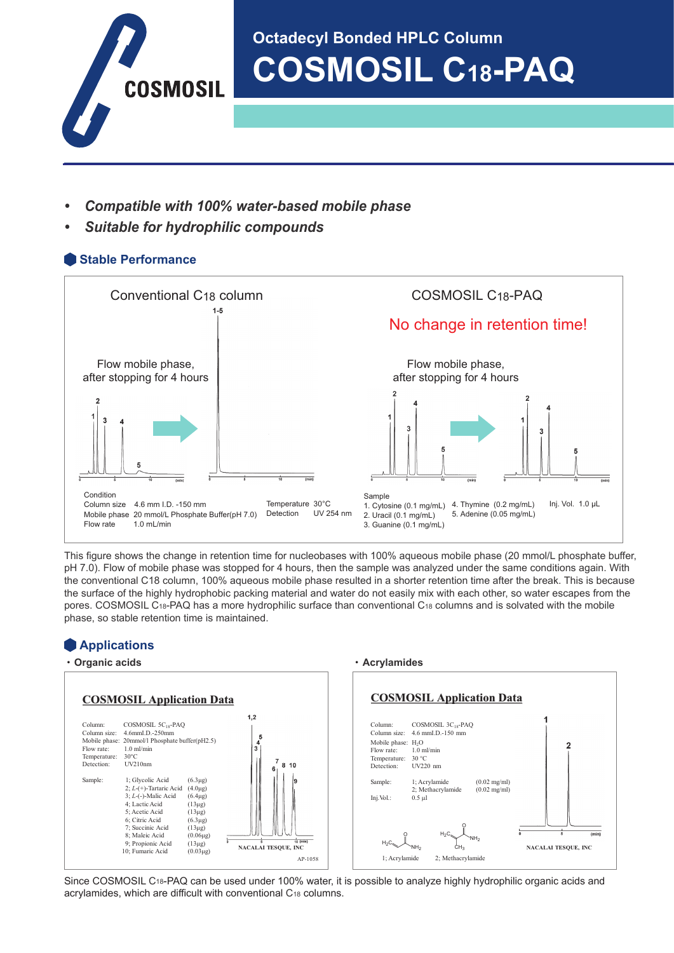

# **Octadecyl Bonded HPLC Column COSMOSIL C18-PAQ**

- *• Compatible with 100% water-based mobile phase*
- *• Suitable for hydrophilic compounds*

## **Stable Performance**



This figure shows the change in retention time for nucleobases with 100% aqueous mobile phase (20 mmol/L phosphate buffer, pH 7.0). Flow of mobile phase was stopped for 4 hours, then the sample was analyzed under the same conditions again. With the conventional C18 column, 100% aqueous mobile phase resulted in a shorter retention time after the break. This is because the surface of the highly hydrophobic packing material and water do not easily mix with each other, so water escapes from the pores. COSMOSIL C18-PAQ has a more hydrophilic surface than conventional C18 columns and is solvated with the mobile phase, so stable retention time is maintained.

## **Applications**



Since COSMOSIL C18-PAQ can be used under 100% water, it is possible to analyze highly hydrophilic organic acids and acrylamides, which are difficult with conventional C18 columns.